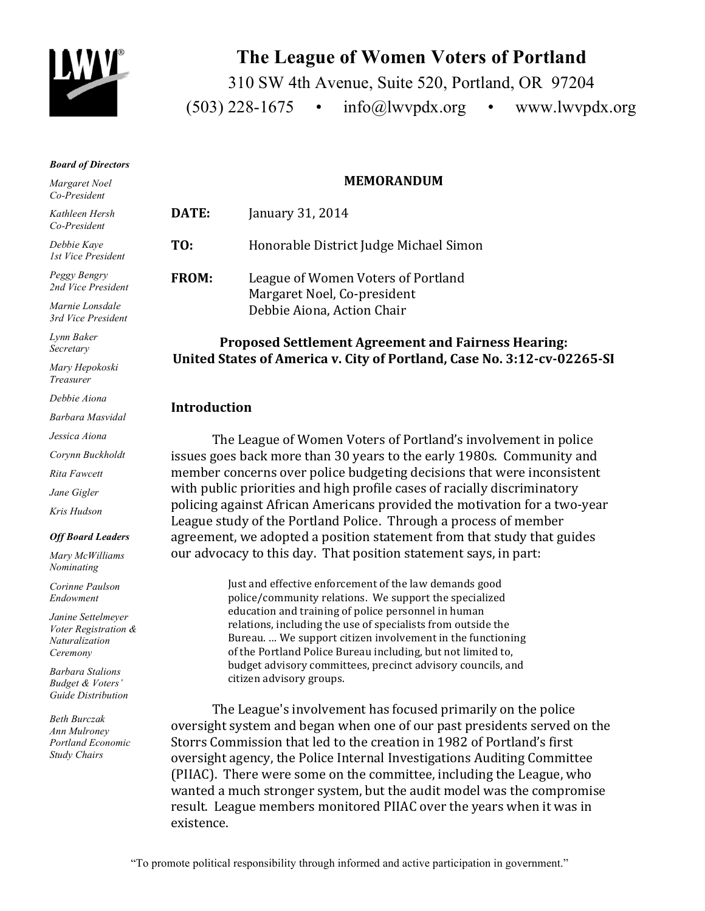

# **The League of Women Voters of Portland**

310 SW 4th Avenue, Suite 520, Portland, OR 97204  $(503)$  228-1675 • info@lwvpdx.org • www.lwvpdx.org

#### *Board of Directors*

*Margaret Noel Co-President*

*Kathleen Hersh Co-President*

*Debbie Kaye 1st Vice President*

*Peggy Bengry 2nd Vice President*

*Marnie Lonsdale 3rd Vice President*

*Lynn Baker Secretary*

*Mary Hepokoski Treasurer*

*Debbie Aiona*

*Barbara Masvidal*

*Jessica Aiona*

*Corynn Buckholdt*

*Rita Fawcett*

*Jane Gigler*

*Kris Hudson*

#### *Off Board Leaders*

*Mary McWilliams Nominating* 

*Corinne Paulson Endowment* 

*Janine Settelmeyer Voter Registration & Naturalization Ceremony*

*Barbara Stalions Budget & Voters' Guide Distribution*

*Beth Burczak Ann Mulroney Portland Economic Study Chairs*

#### **MEMORANDUM**

**DATE: January 31, 2014 TO:** Honorable District Judge Michael Simon **FROM:** League of Women Voters of Portland Margaret Noel, Co-president Debbie Aiona, Action Chair

## **Proposed Settlement Agreement and Fairness Hearing: United States of America v. City of Portland, Case No. 3:12-cv-02265-SI**

#### **Introduction**

The League of Women Voters of Portland's involvement in police issues goes back more than 30 years to the early 1980s. Community and member concerns over police budgeting decisions that were inconsistent with public priorities and high profile cases of racially discriminatory policing against African Americans provided the motivation for a two-year League study of the Portland Police. Through a process of member agreement, we adopted a position statement from that study that guides our advocacy to this day. That position statement says, in part:

> Just and effective enforcement of the law demands good police/community relations. We support the specialized education and training of police personnel in human relations, including the use of specialists from outside the Bureau. ... We support citizen involvement in the functioning of the Portland Police Bureau including, but not limited to, budget advisory committees, precinct advisory councils, and citizen advisory groups.

The League's involvement has focused primarily on the police oversight system and began when one of our past presidents served on the Storrs Commission that led to the creation in 1982 of Portland's first oversight agency, the Police Internal Investigations Auditing Committee (PIIAC). There were some on the committee, including the League, who wanted a much stronger system, but the audit model was the compromise result. League members monitored PIIAC over the years when it was in existence.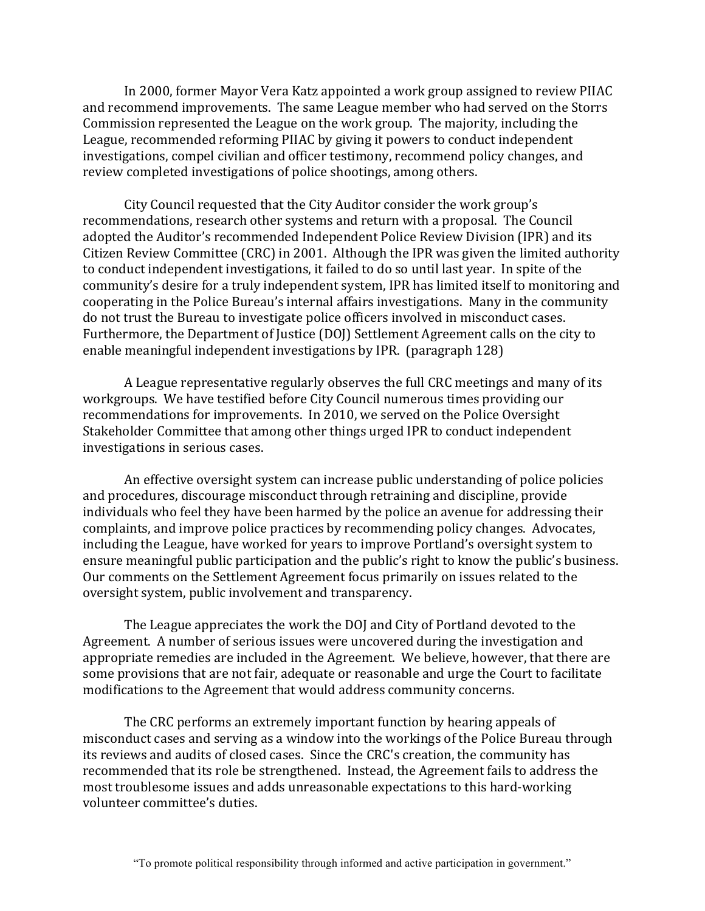In 2000, former Mayor Vera Katz appointed a work group assigned to review PIIAC and recommend improvements. The same League member who had served on the Storrs Commission represented the League on the work group. The majority, including the League, recommended reforming PIIAC by giving it powers to conduct independent investigations, compel civilian and officer testimony, recommend policy changes, and review completed investigations of police shootings, among others.

City Council requested that the City Auditor consider the work group's recommendations, research other systems and return with a proposal. The Council adopted the Auditor's recommended Independent Police Review Division (IPR) and its Citizen Review Committee (CRC) in 2001. Although the IPR was given the limited authority to conduct independent investigations, it failed to do so until last year. In spite of the community's desire for a truly independent system, IPR has limited itself to monitoring and cooperating in the Police Bureau's internal affairs investigations. Many in the community do not trust the Bureau to investigate police officers involved in misconduct cases. Furthermore, the Department of Justice (DOJ) Settlement Agreement calls on the city to enable meaningful independent investigations by IPR. (paragraph 128)

A League representative regularly observes the full CRC meetings and many of its workgroups. We have testified before City Council numerous times providing our recommendations for improvements. In 2010, we served on the Police Oversight Stakeholder Committee that among other things urged IPR to conduct independent investigations in serious cases.

An effective oversight system can increase public understanding of police policies and procedures, discourage misconduct through retraining and discipline, provide individuals who feel they have been harmed by the police an avenue for addressing their complaints, and improve police practices by recommending policy changes. Advocates, including the League, have worked for years to improve Portland's oversight system to ensure meaningful public participation and the public's right to know the public's business. Our comments on the Settlement Agreement focus primarily on issues related to the oversight system, public involvement and transparency.

The League appreciates the work the DOJ and City of Portland devoted to the Agreement. A number of serious issues were uncovered during the investigation and appropriate remedies are included in the Agreement. We believe, however, that there are some provisions that are not fair, adequate or reasonable and urge the Court to facilitate modifications to the Agreement that would address community concerns.

The CRC performs an extremely important function by hearing appeals of misconduct cases and serving as a window into the workings of the Police Bureau through its reviews and audits of closed cases. Since the CRC's creation, the community has recommended that its role be strengthened. Instead, the Agreement fails to address the most troublesome issues and adds unreasonable expectations to this hard-working volunteer committee's duties.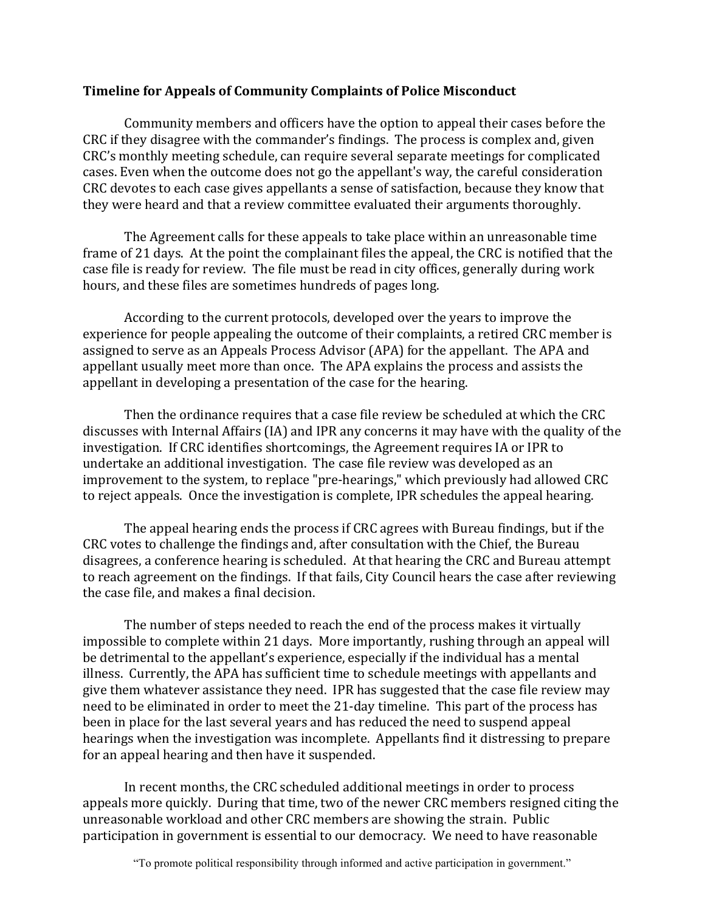#### **Timeline for Appeals of Community Complaints of Police Misconduct**

Community members and officers have the option to appeal their cases before the CRC if they disagree with the commander's findings. The process is complex and, given CRC's monthly meeting schedule, can require several separate meetings for complicated cases. Even when the outcome does not go the appellant's way, the careful consideration CRC devotes to each case gives appellants a sense of satisfaction, because they know that they were heard and that a review committee evaluated their arguments thoroughly.

The Agreement calls for these appeals to take place within an unreasonable time frame of 21 days. At the point the complainant files the appeal, the CRC is notified that the case file is ready for review. The file must be read in city offices, generally during work hours, and these files are sometimes hundreds of pages long.

According to the current protocols, developed over the years to improve the experience for people appealing the outcome of their complaints, a retired CRC member is assigned to serve as an Appeals Process Advisor (APA) for the appellant. The APA and appellant usually meet more than once. The APA explains the process and assists the appellant in developing a presentation of the case for the hearing.

Then the ordinance requires that a case file review be scheduled at which the CRC discusses with Internal Affairs (IA) and IPR any concerns it may have with the quality of the investigation. If CRC identifies shortcomings, the Agreement requires IA or IPR to undertake an additional investigation. The case file review was developed as an improvement to the system, to replace "pre-hearings," which previously had allowed CRC to reject appeals. Once the investigation is complete, IPR schedules the appeal hearing.

The appeal hearing ends the process if CRC agrees with Bureau findings, but if the CRC votes to challenge the findings and, after consultation with the Chief, the Bureau disagrees, a conference hearing is scheduled. At that hearing the CRC and Bureau attempt to reach agreement on the findings. If that fails, City Council hears the case after reviewing the case file, and makes a final decision.

The number of steps needed to reach the end of the process makes it virtually impossible to complete within 21 days. More importantly, rushing through an appeal will be detrimental to the appellant's experience, especially if the individual has a mental illness. Currently, the APA has sufficient time to schedule meetings with appellants and give them whatever assistance they need. IPR has suggested that the case file review may need to be eliminated in order to meet the 21-day timeline. This part of the process has been in place for the last several years and has reduced the need to suspend appeal hearings when the investigation was incomplete. Appellants find it distressing to prepare for an appeal hearing and then have it suspended.

In recent months, the CRC scheduled additional meetings in order to process appeals more quickly. During that time, two of the newer CRC members resigned citing the unreasonable workload and other CRC members are showing the strain. Public participation in government is essential to our democracy. We need to have reasonable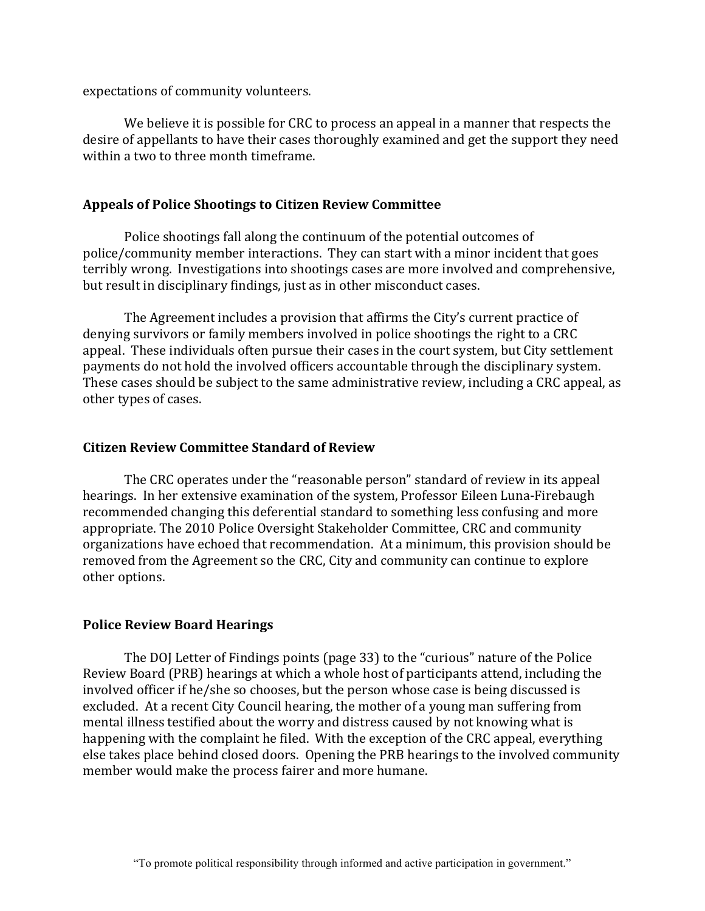expectations of community volunteers.

We believe it is possible for CRC to process an appeal in a manner that respects the desire of appellants to have their cases thoroughly examined and get the support they need within a two to three month timeframe.

#### Appeals of Police Shootings to Citizen Review Committee

Police shootings fall along the continuum of the potential outcomes of police/community member interactions. They can start with a minor incident that goes terribly wrong. Investigations into shootings cases are more involved and comprehensive, but result in disciplinary findings, just as in other misconduct cases.

The Agreement includes a provision that affirms the City's current practice of denying survivors or family members involved in police shootings the right to a CRC appeal. These individuals often pursue their cases in the court system, but City settlement payments do not hold the involved officers accountable through the disciplinary system. These cases should be subject to the same administrative review, including a CRC appeal, as other types of cases.

#### **Citizen Review Committee Standard of Review**

The CRC operates under the "reasonable person" standard of review in its appeal hearings. In her extensive examination of the system, Professor Eileen Luna-Firebaugh recommended changing this deferential standard to something less confusing and more appropriate. The 2010 Police Oversight Stakeholder Committee, CRC and community organizations have echoed that recommendation. At a minimum, this provision should be removed from the Agreement so the CRC, City and community can continue to explore other options.

### **Police Review Board Hearings**

The DOJ Letter of Findings points (page 33) to the "curious" nature of the Police Review Board (PRB) hearings at which a whole host of participants attend, including the involved officer if he/she so chooses, but the person whose case is being discussed is excluded. At a recent City Council hearing, the mother of a young man suffering from mental illness testified about the worry and distress caused by not knowing what is happening with the complaint he filed. With the exception of the CRC appeal, everything else takes place behind closed doors. Opening the PRB hearings to the involved community member would make the process fairer and more humane.

<sup>&</sup>quot;To promote political responsibility through informed and active participation in government."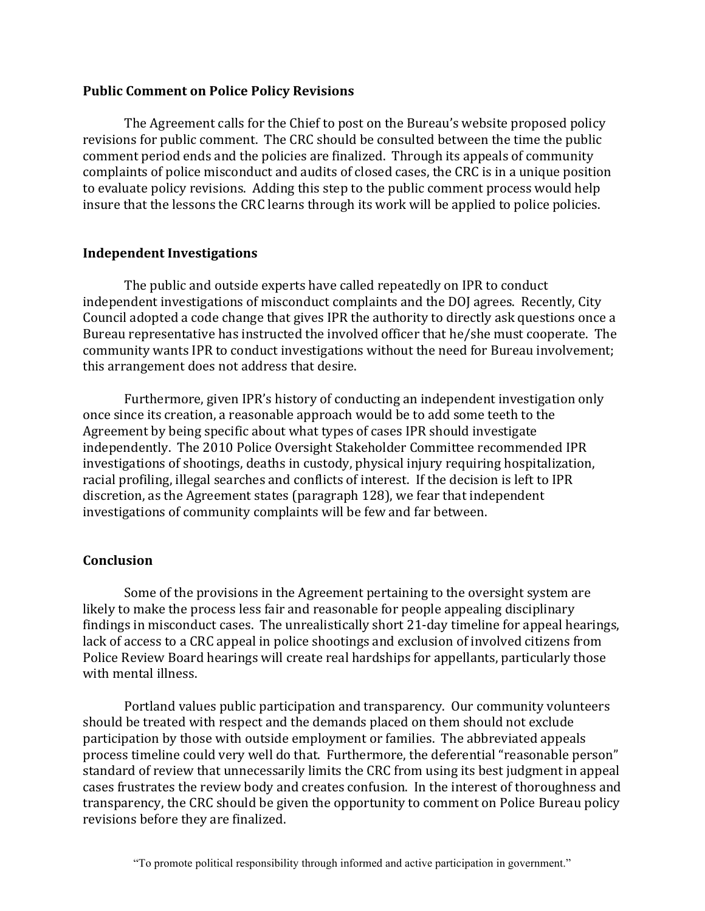#### **Public Comment on Police Policy Revisions**

The Agreement calls for the Chief to post on the Bureau's website proposed policy revisions for public comment. The CRC should be consulted between the time the public comment period ends and the policies are finalized. Through its appeals of community complaints of police misconduct and audits of closed cases, the CRC is in a unique position to evaluate policy revisions. Adding this step to the public comment process would help insure that the lessons the CRC learns through its work will be applied to police policies.

#### **Independent Investigations**

The public and outside experts have called repeatedly on IPR to conduct independent investigations of misconduct complaints and the DOJ agrees. Recently, City Council adopted a code change that gives IPR the authority to directly ask questions once a Bureau representative has instructed the involved officer that he/she must cooperate. The community wants IPR to conduct investigations without the need for Bureau involvement; this arrangement does not address that desire.

Furthermore, given IPR's history of conducting an independent investigation only once since its creation, a reasonable approach would be to add some teeth to the Agreement by being specific about what types of cases IPR should investigate independently. The 2010 Police Oversight Stakeholder Committee recommended IPR investigations of shootings, deaths in custody, physical injury requiring hospitalization, racial profiling, illegal searches and conflicts of interest. If the decision is left to IPR discretion, as the Agreement states (paragraph 128), we fear that independent investigations of community complaints will be few and far between.

### **Conclusion**

Some of the provisions in the Agreement pertaining to the oversight system are likely to make the process less fair and reasonable for people appealing disciplinary findings in misconduct cases. The unrealistically short 21-day timeline for appeal hearings, lack of access to a CRC appeal in police shootings and exclusion of involved citizens from Police Review Board hearings will create real hardships for appellants, particularly those with mental illness.

Portland values public participation and transparency. Our community volunteers should be treated with respect and the demands placed on them should not exclude participation by those with outside employment or families. The abbreviated appeals process timeline could very well do that. Furthermore, the deferential "reasonable person" standard of review that unnecessarily limits the CRC from using its best judgment in appeal cases frustrates the review body and creates confusion. In the interest of thoroughness and transparency, the CRC should be given the opportunity to comment on Police Bureau policy revisions before they are finalized.